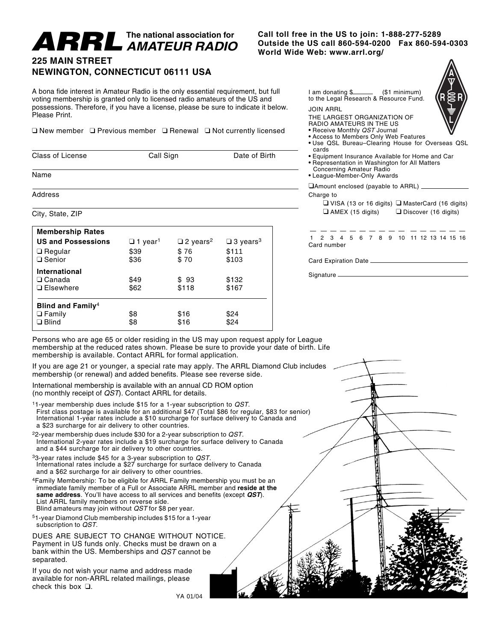# **AMATEUR RADIO**

**Call toll free in the US to join: 1-888-277-5289 OUTHE MATEUR RADIO** Call toll free in the US to join: 1-888-277-5289<br>World Wide Web: www.arrl.org/<br>World Wide Web: www.arrl.org/

### **225 MAIN STREET NEWINGTON, CONNECTICUT 06111 USA**

A bona fide interest in Amateur Radio is the only essential requirement, but full voting membership is granted only to licensed radio amateurs of the US and possessions. Therefore, if you have a license, please be sure to indicate it below. Please Print.

❑ New member ❑ Previous member ❑ Renewal ❑ Not currently licensed

| <b>Class of License</b> | Call Sign | Date of Birth |
|-------------------------|-----------|---------------|
| Name                    |           |               |
| Address                 |           |               |

#### City, State, ZIP

| <b>Membership Rates</b>                                               |                            |                                |                                |
|-----------------------------------------------------------------------|----------------------------|--------------------------------|--------------------------------|
| <b>US and Possessions</b>                                             | $\Box$ 1 year <sup>1</sup> | $\square$ 2 years <sup>2</sup> | $\square$ 3 years <sup>3</sup> |
| $\Box$ Regular                                                        | \$39                       | \$76                           | \$111                          |
| □ Senior                                                              | \$36                       | \$70                           | \$103                          |
| <b>International</b>                                                  |                            |                                |                                |
| $\Box$ Canada                                                         | \$49                       | \$93                           | \$132                          |
| $\Box$ Elsewhere                                                      | \$62                       | \$118                          | \$167                          |
| <b>Blind and Family</b> <sup>4</sup><br>$\Box$ Family<br>$\Box$ Blind | \$8<br>\$8                 | \$16<br>\$16                   | \$24<br>\$24                   |

I am donating \$ (\$1 minimum) to the Legal Research & Resource Fund.

#### JOIN ARRL

- THE LARGEST ORGANIZATION OF
- RADIO AMATEURS IN THE US
- Receive Monthly QST Journal • Access to Members Only Web Features
- Use QSL Bureau–Clearing House for Overseas QSL cards
- Equipment Insurance Available for Home and Car • Representation in Washington for All Matters
- Concerning Amateur Radio
- League-Member-Only Awards
- ❑Amount enclosed (payable to ARRL) Charge to
	- ❑ VISA (13 or 16 digits) ❑ MasterCard (16 digits) ❑ AMEX (15 digits) ❑ Discover (16 digits)

— ————————— —————— 1 2 3 4 5 6 7 8 9 10 11 12 13 14 15 16 Card number

Card Expiration Date

Signature

Persons who are age 65 or older residing in the US may upon request apply for League membership at the reduced rates shown. Please be sure to provide your date of birth. Life membership is available. Contact ARRL for formal application.

If you are age 21 or younger, a special rate may apply. The ARRL Diamond Club includes membership (or renewal) and added benefits. Please see reverse side.

International membership is available with an annual CD ROM option (no monthly receipt of QST). Contact ARRL for details.

11-year membership dues include \$15 for a 1-year subscription to QST. First class postage is available for an additional \$47 (Total \$86 for regular, \$83 for senior) International 1-year rates include a \$10 surcharge for surface delivery to Canada and a \$23 surcharge for air delivery to other countries.

22-year membership dues include \$30 for a 2-year subscription to QST. International 2-year rates include a \$19 surcharge for surface delivery to Canada and a \$44 surcharge for air delivery to other countries.

 $33$ -year rates include \$45 for a 3-year subscription to  $\mathcal{Q}ST$ . International rates include a \$27 surcharge for surface delivery to Canada and a \$62 surcharge for air delivery to other countries.

4Family Membership: To be eligible for ARRL Family membership you must be an immediate family member of a Full or Associate ARRL member and **reside at the same address**. You'll have access to all services and benefits (except **QST**). List ARRL family members on reverse side. Blind amateurs may join without QST for \$8 per year.

51-year Diamond Club membership includes \$15 for a 1-year subscription to QST.

DUES ARE SUBJECT TO CHANGE WITHOUT NOTICE. Payment in US funds only. Checks must be drawn on a bank within the US. Memberships and QST cannot be separated.

If you do not wish your name and address made available for non-ARRL related mailings, please check this box ❑.

YA 01/04